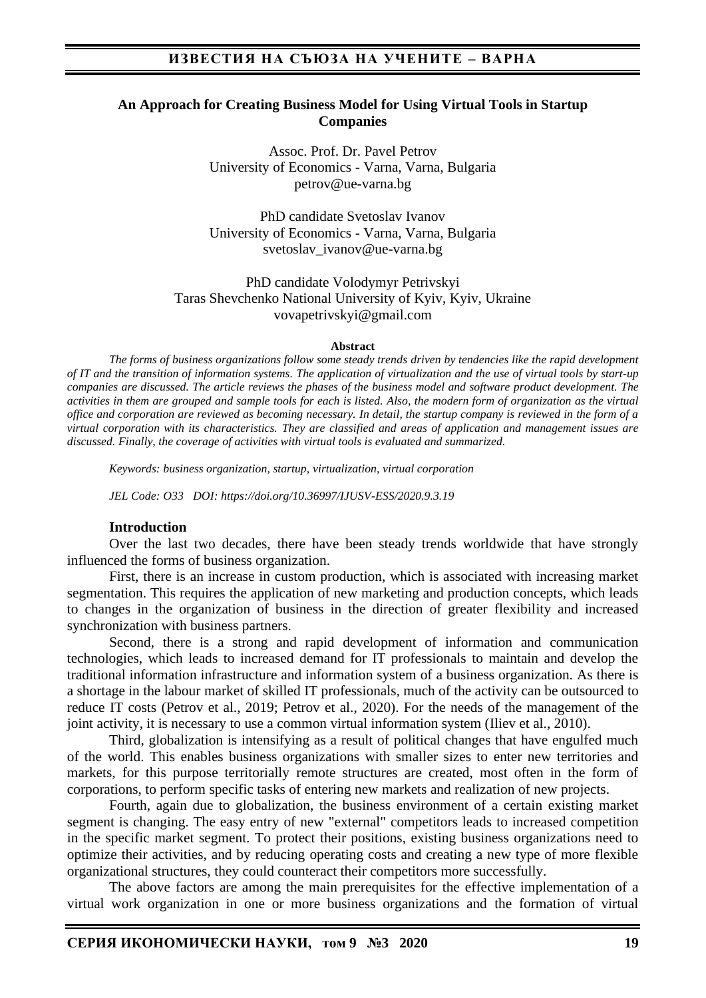#### **An Approach for Creating Business Model for Using Virtual Tools in Startup Companies**

Assoc. Prof. Dr. Pavel Petrov University of Economics - Varna, Varna, Bulgaria petrov@ue-varna.bg

PhD candidate Svetoslav Ivanov University of Economics - Varna, Varna, Bulgaria svetoslav\_ivanov@ue-varna.bg

PhD candidate Volodymyr Petrivskyi Taras Shevchenko National University of Kyiv, Kyiv, Ukraine vovapetrivskyi@gmail.com

#### **Abstract**

*The forms of business organizations follow some steady trends driven by tendencies like the rapid development of IT and the transition of information systems. The application of virtualization and the use of virtual tools by start-up companies are discussed. The article reviews the phases of the business model and software product development. The activities in them are grouped and sample tools for each is listed. Also, the modern form of organization as the virtual office and corporation are reviewed as becoming necessary. In detail, the startup company is reviewed in the form of a virtual corporation with its characteristics. They are classified and areas of application and management issues are discussed. Finally, the coverage of activities with virtual tools is evaluated and summarized.*

*Keywords: business organization, startup, virtualization, virtual corporation*

*JEL Code: O33 DOI: https://doi.org/10.36997/IJUSV-ESS/2020.9.3.19*

#### **Introduction**

Over the last two decades, there have been steady trends worldwide that have strongly influenced the forms of business organization.

First, there is an increase in custom production, which is associated with increasing market segmentation. This requires the application of new marketing and production concepts, which leads to changes in the organization of business in the direction of greater flexibility and increased synchronization with business partners.

Second, there is a strong and rapid development of information and communication technologies, which leads to increased demand for IT professionals to maintain and develop the traditional information infrastructure and information system of a business organization. As there is a shortage in the labour market of skilled IT professionals, much of the activity can be outsourced to reduce IT costs (Petrov et al., 2019; Petrov et al., 2020). For the needs of the management of the joint activity, it is necessary to use a common virtual information system (Iliev et al., 2010).

Third, globalization is intensifying as a result of political changes that have engulfed much of the world. This enables business organizations with smaller sizes to enter new territories and markets, for this purpose territorially remote structures are created, most often in the form of corporations, to perform specific tasks of entering new markets and realization of new projects.

Fourth, again due to globalization, the business environment of a certain existing market segment is changing. The easy entry of new "external" competitors leads to increased competition in the specific market segment. To protect their positions, existing business organizations need to optimize their activities, and by reducing operating costs and creating a new type of more flexible organizational structures, they could counteract their competitors more successfully.

The above factors are among the main prerequisites for the effective implementation of a virtual work organization in one or more business organizations and the formation of virtual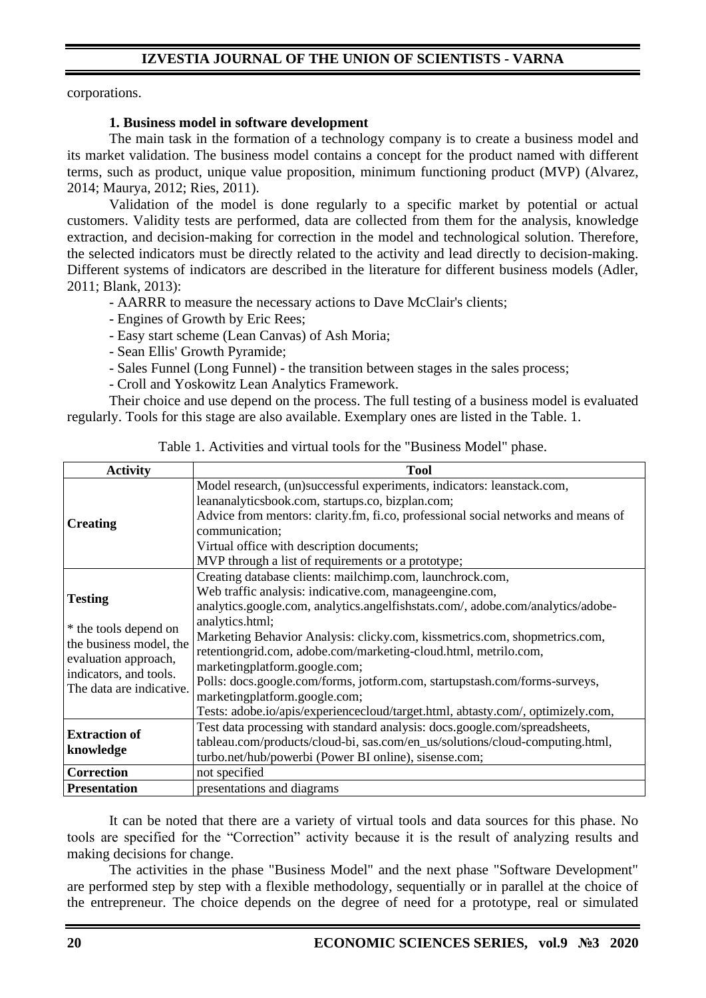# **IZVESTIA JOURNAL OF THE UNION OF SCIENTISTS - VARNA**

corporations.

#### **1. Business model in software development**

The main task in the formation of a technology company is to create a business model and its market validation. The business model contains a concept for the product named with different terms, such as product, unique value proposition, minimum functioning product (MVP) (Alvarez, 2014; Maurya, 2012; Ries, 2011).

Validation of the model is done regularly to a specific market by potential or actual customers. Validity tests are performed, data are collected from them for the analysis, knowledge extraction, and decision-making for correction in the model and technological solution. Therefore, the selected indicators must be directly related to the activity and lead directly to decision-making. Different systems of indicators are described in the literature for different business models (Adler, 2011; Blank, 2013):

- AARRR to measure the necessary actions to Dave McClair's clients;

- Engines of Growth by Eric Rees;
- Easy start scheme (Lean Canvas) of Ash Moria;
- Sean Ellis' Growth Pyramide;
- Sales Funnel (Long Funnel) the transition between stages in the sales process;
- Croll and Yoskowitz Lean Analytics Framework.

Their choice and use depend on the process. The full testing of a business model is evaluated regularly. Tools for this stage are also available. Exemplary ones are listed in the Table. 1.

| <b>Activity</b>                                                                                                                                  | <b>Tool</b>                                                                                                                                                                                                                                                                                                                                                                                                                                                                                                                                                                                                    |  |  |  |
|--------------------------------------------------------------------------------------------------------------------------------------------------|----------------------------------------------------------------------------------------------------------------------------------------------------------------------------------------------------------------------------------------------------------------------------------------------------------------------------------------------------------------------------------------------------------------------------------------------------------------------------------------------------------------------------------------------------------------------------------------------------------------|--|--|--|
| <b>Creating</b>                                                                                                                                  | Model research, (un)successful experiments, indicators: leanstack.com,<br>leananalyticsbook.com, startups.co, bizplan.com;<br>Advice from mentors: clarity.fm, fi.co, professional social networks and means of<br>communication;<br>Virtual office with description documents;<br>MVP through a list of requirements or a prototype;                                                                                                                                                                                                                                                                          |  |  |  |
| <b>Testing</b><br>* the tools depend on<br>the business model, the<br>evaluation approach,<br>indicators, and tools.<br>The data are indicative. | Creating database clients: mailchimp.com, launchrock.com,<br>Web traffic analysis: indicative.com, manageengine.com,<br>analytics.google.com, analytics.angelfishstats.com/, adobe.com/analytics/adobe-<br>analytics.html;<br>Marketing Behavior Analysis: clicky.com, kissmetrics.com, shopmetrics.com,<br>retentiongrid.com, adobe.com/marketing-cloud.html, metrilo.com,<br>marketingplatform.google.com;<br>Polls: docs.google.com/forms, jotform.com, startupstash.com/forms-surveys,<br>marketingplatform.google.com;<br>Tests: adobe.io/apis/experiencecloud/target.html, abtasty.com/, optimizely.com, |  |  |  |
| <b>Extraction of</b><br>knowledge                                                                                                                | Test data processing with standard analysis: docs.google.com/spreadsheets,<br>tableau.com/products/cloud-bi, sas.com/en_us/solutions/cloud-computing.html,<br>turbo.net/hub/powerbi (Power BI online), sisense.com;                                                                                                                                                                                                                                                                                                                                                                                            |  |  |  |
| <b>Correction</b>                                                                                                                                | not specified                                                                                                                                                                                                                                                                                                                                                                                                                                                                                                                                                                                                  |  |  |  |
| <b>Presentation</b>                                                                                                                              | presentations and diagrams                                                                                                                                                                                                                                                                                                                                                                                                                                                                                                                                                                                     |  |  |  |

Table 1. Activities and virtual tools for the "Business Model" phase.

It can be noted that there are a variety of virtual tools and data sources for this phase. No tools are specified for the "Correction" activity because it is the result of analyzing results and making decisions for change.

The activities in the phase "Business Model" and the next phase "Software Development" are performed step by step with a flexible methodology, sequentially or in parallel at the choice of the entrepreneur. The choice depends on the degree of need for a prototype, real or simulated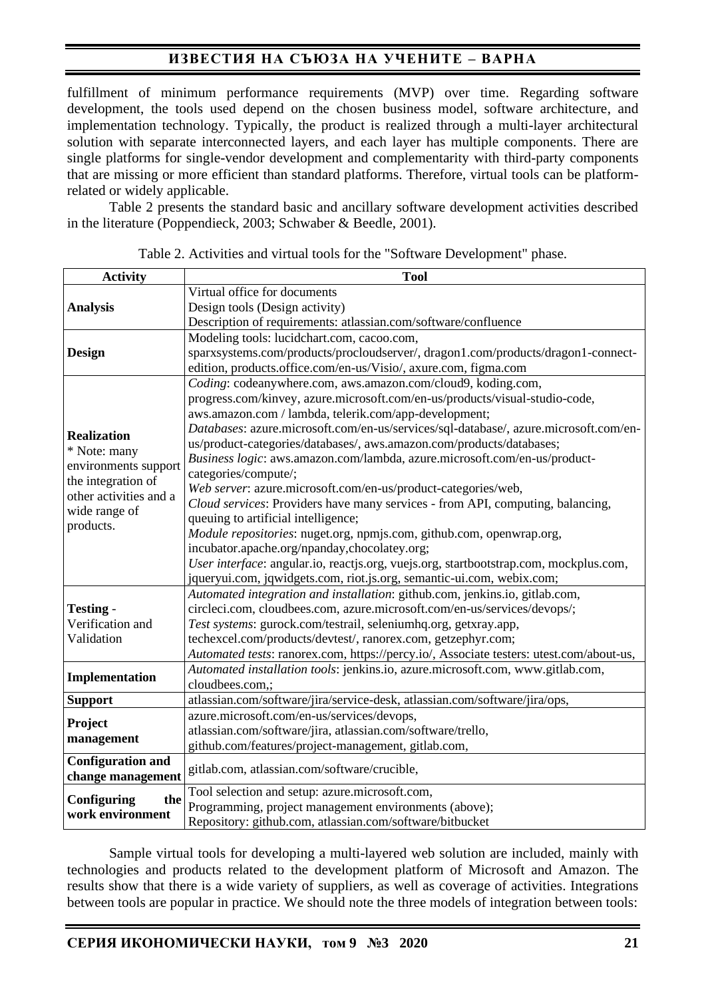# **ИЗВЕСТИЯ НА СЪЮЗА НА УЧЕНИТЕ – ВАРНА**

fulfillment of minimum performance requirements (MVP) over time. Regarding software development, the tools used depend on the chosen business model, software architecture, and implementation technology. Typically, the product is realized through a multi-layer architectural solution with separate interconnected layers, and each layer has multiple components. There are single platforms for single-vendor development and complementarity with third-party components that are missing or more efficient than standard platforms. Therefore, virtual tools can be platformrelated or widely applicable.

Table 2 presents the standard basic and ancillary software development activities described in the literature (Poppendieck, 2003; Schwaber & Beedle, 2001).

| <b>Activity</b>                                                                                                             | <b>Tool</b>                                                                             |  |  |  |
|-----------------------------------------------------------------------------------------------------------------------------|-----------------------------------------------------------------------------------------|--|--|--|
|                                                                                                                             | Virtual office for documents                                                            |  |  |  |
| <b>Analysis</b>                                                                                                             | Design tools (Design activity)                                                          |  |  |  |
|                                                                                                                             | Description of requirements: atlassian.com/software/confluence                          |  |  |  |
|                                                                                                                             | Modeling tools: lucidchart.com, cacoo.com,                                              |  |  |  |
| <b>Design</b>                                                                                                               | sparxsystems.com/products/procloudserver/, dragon1.com/products/dragon1-connect-        |  |  |  |
|                                                                                                                             | edition, products.office.com/en-us/Visio/, axure.com, figma.com                         |  |  |  |
|                                                                                                                             | Coding: codeanywhere.com, aws.amazon.com/cloud9, koding.com,                            |  |  |  |
| <b>Realization</b><br>* Note: many<br>environments support<br>the integration of<br>other activities and a<br>wide range of | progress.com/kinvey, azure.microsoft.com/en-us/products/visual-studio-code,             |  |  |  |
|                                                                                                                             | aws.amazon.com / lambda, telerik.com/app-development;                                   |  |  |  |
|                                                                                                                             | Databases: azure.microsoft.com/en-us/services/sql-database/, azure.microsoft.com/en-    |  |  |  |
|                                                                                                                             | us/product-categories/databases/, aws.amazon.com/products/databases;                    |  |  |  |
|                                                                                                                             | Business logic: aws.amazon.com/lambda, azure.microsoft.com/en-us/product-               |  |  |  |
|                                                                                                                             | categories/compute/;                                                                    |  |  |  |
|                                                                                                                             | Web server: azure.microsoft.com/en-us/product-categories/web,                           |  |  |  |
|                                                                                                                             | Cloud services: Providers have many services - from API, computing, balancing,          |  |  |  |
| products.                                                                                                                   | queuing to artificial intelligence;                                                     |  |  |  |
|                                                                                                                             | Module repositories: nuget.org, npmjs.com, github.com, openwrap.org,                    |  |  |  |
|                                                                                                                             | incubator.apache.org/npanday,chocolatey.org;                                            |  |  |  |
|                                                                                                                             | User interface: angular.io, reactjs.org, vuejs.org, startbootstrap.com, mockplus.com,   |  |  |  |
|                                                                                                                             | jqueryui.com, jqwidgets.com, riot.js.org, semantic-ui.com, webix.com;                   |  |  |  |
|                                                                                                                             | Automated integration and installation: github.com, jenkins.io, gitlab.com,             |  |  |  |
| <b>Testing -</b>                                                                                                            | circleci.com, cloudbees.com, azure.microsoft.com/en-us/services/devops/;                |  |  |  |
| Verification and                                                                                                            | Test systems: gurock.com/testrail, seleniumhq.org, getxray.app,                         |  |  |  |
| Validation                                                                                                                  | techexcel.com/products/devtest/, ranorex.com, getzephyr.com;                            |  |  |  |
|                                                                                                                             | Automated tests: ranorex.com, https://percy.io/, Associate testers: utest.com/about-us, |  |  |  |
| Implementation                                                                                                              | Automated installation tools: jenkins.io, azure.microsoft.com, www.gitlab.com,          |  |  |  |
|                                                                                                                             | cloudbees.com,;                                                                         |  |  |  |
| <b>Support</b>                                                                                                              | atlassian.com/software/jira/service-desk, atlassian.com/software/jira/ops,              |  |  |  |
| Project                                                                                                                     | azure.microsoft.com/en-us/services/devops,                                              |  |  |  |
| management                                                                                                                  | atlassian.com/software/jira, atlassian.com/software/trello,                             |  |  |  |
|                                                                                                                             | github.com/features/project-management, gitlab.com,                                     |  |  |  |
| <b>Configuration and</b>                                                                                                    | gitlab.com, atlassian.com/software/crucible,                                            |  |  |  |
| change management                                                                                                           |                                                                                         |  |  |  |
| Configuring<br>the<br>work environment                                                                                      | Tool selection and setup: azure.microsoft.com,                                          |  |  |  |
|                                                                                                                             | Programming, project management environments (above);                                   |  |  |  |
|                                                                                                                             | Repository: github.com, atlassian.com/software/bitbucket                                |  |  |  |

Table 2. Activities and virtual tools for the "Software Development" phase.

Sample virtual tools for developing a multi-layered web solution are included, mainly with technologies and products related to the development platform of Microsoft and Amazon. The results show that there is a wide variety of suppliers, as well as coverage of activities. Integrations between tools are popular in practice. We should note the three models of integration between tools: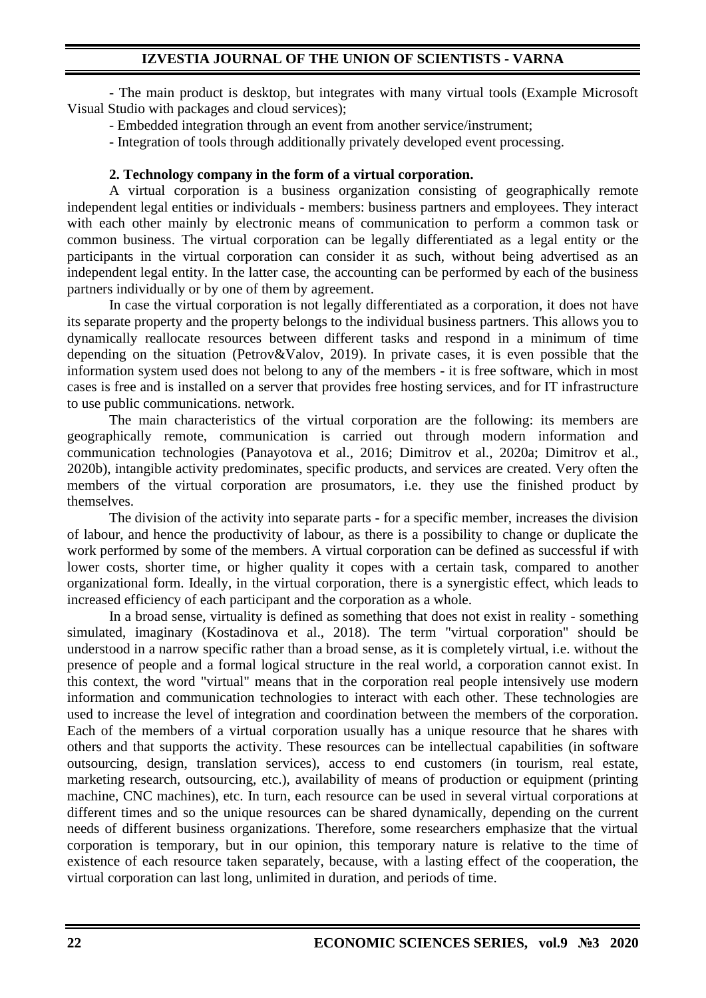- The main product is desktop, but integrates with many virtual tools (Example Microsoft Visual Studio with packages and cloud services);

- Embedded integration through an event from another service/instrument;

- Integration of tools through additionally privately developed event processing.

## **2. Technology company in the form of a virtual corporation.**

A virtual corporation is a business organization consisting of geographically remote independent legal entities or individuals - members: business partners and employees. They interact with each other mainly by electronic means of communication to perform a common task or common business. The virtual corporation can be legally differentiated as a legal entity or the participants in the virtual corporation can consider it as such, without being advertised as an independent legal entity. In the latter case, the accounting can be performed by each of the business partners individually or by one of them by agreement.

In case the virtual corporation is not legally differentiated as a corporation, it does not have its separate property and the property belongs to the individual business partners. This allows you to dynamically reallocate resources between different tasks and respond in a minimum of time depending on the situation (Petrov&Valov, 2019). In private cases, it is even possible that the information system used does not belong to any of the members - it is free software, which in most cases is free and is installed on a server that provides free hosting services, and for IT infrastructure to use public communications. network.

The main characteristics of the virtual corporation are the following: its members are geographically remote, communication is carried out through modern information and communication technologies (Panayotova et al., 2016; Dimitrov et al., 2020a; Dimitrov et al., 2020b), intangible activity predominates, specific products, and services are created. Very often the members of the virtual corporation are prosumators, i.e. they use the finished product by themselves.

The division of the activity into separate parts - for a specific member, increases the division of labour, and hence the productivity of labour, as there is a possibility to change or duplicate the work performed by some of the members. A virtual corporation can be defined as successful if with lower costs, shorter time, or higher quality it copes with a certain task, compared to another organizational form. Ideally, in the virtual corporation, there is a synergistic effect, which leads to increased efficiency of each participant and the corporation as a whole.

In a broad sense, virtuality is defined as something that does not exist in reality - something simulated, imaginary (Kostadinova et al., 2018). The term "virtual corporation" should be understood in a narrow specific rather than a broad sense, as it is completely virtual, i.e. without the presence of people and a formal logical structure in the real world, a corporation cannot exist. In this context, the word "virtual" means that in the corporation real people intensively use modern information and communication technologies to interact with each other. These technologies are used to increase the level of integration and coordination between the members of the corporation. Each of the members of a virtual corporation usually has a unique resource that he shares with others and that supports the activity. These resources can be intellectual capabilities (in software outsourcing, design, translation services), access to end customers (in tourism, real estate, marketing research, outsourcing, etc.), availability of means of production or equipment (printing machine, CNC machines), etc. In turn, each resource can be used in several virtual corporations at different times and so the unique resources can be shared dynamically, depending on the current needs of different business organizations. Therefore, some researchers emphasize that the virtual corporation is temporary, but in our opinion, this temporary nature is relative to the time of existence of each resource taken separately, because, with a lasting effect of the cooperation, the virtual corporation can last long, unlimited in duration, and periods of time.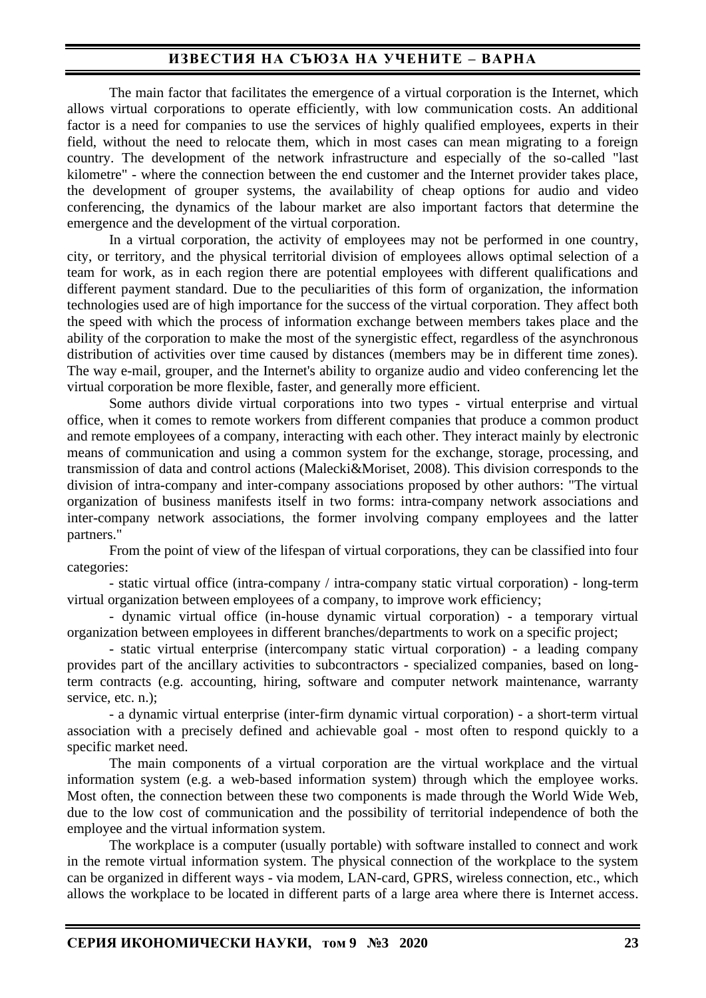# **ИЗВЕСТИЯ НА СЪЮЗА НА УЧЕНИТЕ – ВАРНА**

The main factor that facilitates the emergence of a virtual corporation is the Internet, which allows virtual corporations to operate efficiently, with low communication costs. An additional factor is a need for companies to use the services of highly qualified employees, experts in their field, without the need to relocate them, which in most cases can mean migrating to a foreign country. The development of the network infrastructure and especially of the so-called "last kilometre" - where the connection between the end customer and the Internet provider takes place, the development of grouper systems, the availability of cheap options for audio and video conferencing, the dynamics of the labour market are also important factors that determine the emergence and the development of the virtual corporation.

In a virtual corporation, the activity of employees may not be performed in one country, city, or territory, and the physical territorial division of employees allows optimal selection of a team for work, as in each region there are potential employees with different qualifications and different payment standard. Due to the peculiarities of this form of organization, the information technologies used are of high importance for the success of the virtual corporation. They affect both the speed with which the process of information exchange between members takes place and the ability of the corporation to make the most of the synergistic effect, regardless of the asynchronous distribution of activities over time caused by distances (members may be in different time zones). The way e-mail, grouper, and the Internet's ability to organize audio and video conferencing let the virtual corporation be more flexible, faster, and generally more efficient.

Some authors divide virtual corporations into two types - virtual enterprise and virtual office, when it comes to remote workers from different companies that produce a common product and remote employees of a company, interacting with each other. They interact mainly by electronic means of communication and using a common system for the exchange, storage, processing, and transmission of data and control actions (Malecki&Moriset, 2008). This division corresponds to the division of intra-company and inter-company associations proposed by other authors: "The virtual organization of business manifests itself in two forms: intra-company network associations and inter-company network associations, the former involving company employees and the latter partners."

From the point of view of the lifespan of virtual corporations, they can be classified into four categories:

- static virtual office (intra-company / intra-company static virtual corporation) - long-term virtual organization between employees of a company, to improve work efficiency;

- dynamic virtual office (in-house dynamic virtual corporation) - a temporary virtual organization between employees in different branches/departments to work on a specific project;

- static virtual enterprise (intercompany static virtual corporation) - a leading company provides part of the ancillary activities to subcontractors - specialized companies, based on longterm contracts (e.g. accounting, hiring, software and computer network maintenance, warranty service, etc. n.):

- a dynamic virtual enterprise (inter-firm dynamic virtual corporation) - a short-term virtual association with a precisely defined and achievable goal - most often to respond quickly to a specific market need.

The main components of a virtual corporation are the virtual workplace and the virtual information system (e.g. a web-based information system) through which the employee works. Most often, the connection between these two components is made through the World Wide Web, due to the low cost of communication and the possibility of territorial independence of both the employee and the virtual information system.

The workplace is a computer (usually portable) with software installed to connect and work in the remote virtual information system. The physical connection of the workplace to the system can be organized in different ways - via modem, LAN-card, GPRS, wireless connection, etc., which allows the workplace to be located in different parts of a large area where there is Internet access.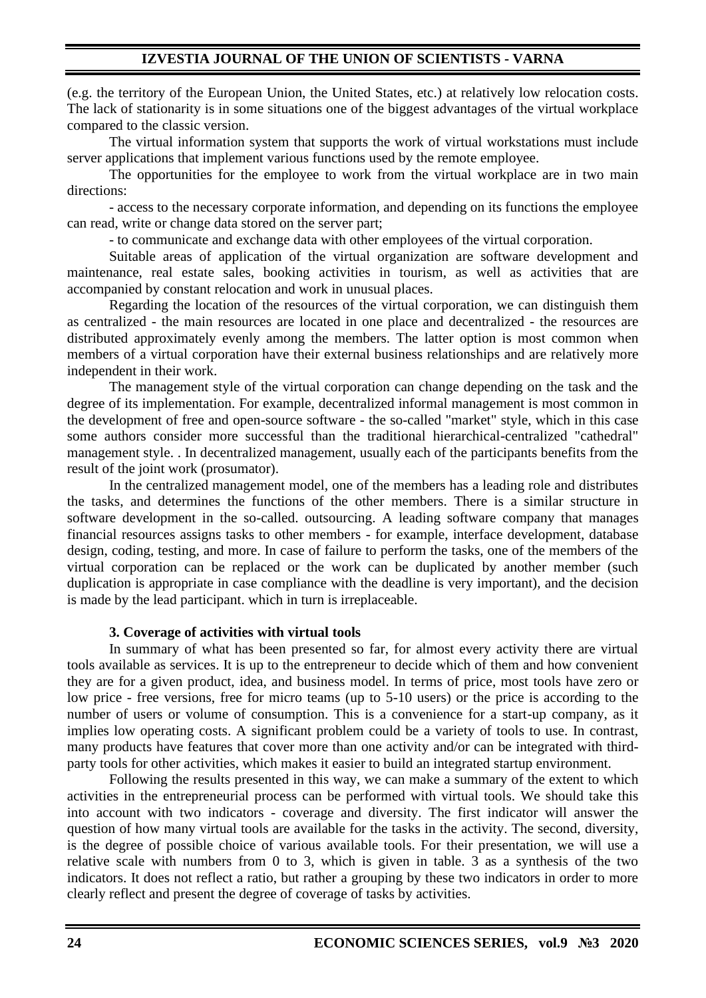(e.g. the territory of the European Union, the United States, etc.) at relatively low relocation costs. The lack of stationarity is in some situations one of the biggest advantages of the virtual workplace compared to the classic version.

The virtual information system that supports the work of virtual workstations must include server applications that implement various functions used by the remote employee.

The opportunities for the employee to work from the virtual workplace are in two main directions:

- access to the necessary corporate information, and depending on its functions the employee can read, write or change data stored on the server part;

- to communicate and exchange data with other employees of the virtual corporation.

Suitable areas of application of the virtual organization are software development and maintenance, real estate sales, booking activities in tourism, as well as activities that are accompanied by constant relocation and work in unusual places.

Regarding the location of the resources of the virtual corporation, we can distinguish them as centralized - the main resources are located in one place and decentralized - the resources are distributed approximately evenly among the members. The latter option is most common when members of a virtual corporation have their external business relationships and are relatively more independent in their work.

The management style of the virtual corporation can change depending on the task and the degree of its implementation. For example, decentralized informal management is most common in the development of free and open-source software - the so-called "market" style, which in this case some authors consider more successful than the traditional hierarchical-centralized "cathedral" management style. . In decentralized management, usually each of the participants benefits from the result of the joint work (prosumator).

In the centralized management model, one of the members has a leading role and distributes the tasks, and determines the functions of the other members. There is a similar structure in software development in the so-called. outsourcing. A leading software company that manages financial resources assigns tasks to other members - for example, interface development, database design, coding, testing, and more. In case of failure to perform the tasks, one of the members of the virtual corporation can be replaced or the work can be duplicated by another member (such duplication is appropriate in case compliance with the deadline is very important), and the decision is made by the lead participant. which in turn is irreplaceable.

### **3. Coverage of activities with virtual tools**

In summary of what has been presented so far, for almost every activity there are virtual tools available as services. It is up to the entrepreneur to decide which of them and how convenient they are for a given product, idea, and business model. In terms of price, most tools have zero or low price - free versions, free for micro teams (up to 5-10 users) or the price is according to the number of users or volume of consumption. This is a convenience for a start-up company, as it implies low operating costs. A significant problem could be a variety of tools to use. In contrast, many products have features that cover more than one activity and/or can be integrated with thirdparty tools for other activities, which makes it easier to build an integrated startup environment.

Following the results presented in this way, we can make a summary of the extent to which activities in the entrepreneurial process can be performed with virtual tools. We should take this into account with two indicators - coverage and diversity. The first indicator will answer the question of how many virtual tools are available for the tasks in the activity. The second, diversity, is the degree of possible choice of various available tools. For their presentation, we will use a relative scale with numbers from 0 to 3, which is given in table. 3 as a synthesis of the two indicators. It does not reflect a ratio, but rather a grouping by these two indicators in order to more clearly reflect and present the degree of coverage of tasks by activities.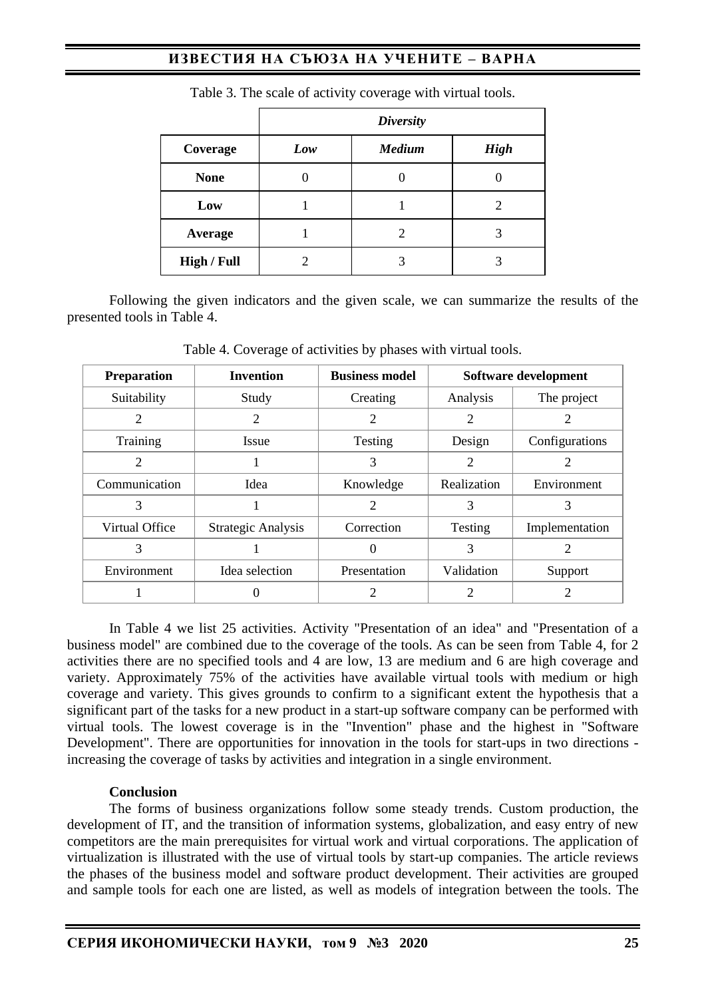# **ИЗВЕСТИЯ НА СЪЮЗА НА УЧЕНИТЕ – ВАРНА**

|                    | <b>Diversity</b> |               |             |  |  |
|--------------------|------------------|---------------|-------------|--|--|
| Coverage           | Low              | <b>Medium</b> | <b>High</b> |  |  |
| <b>None</b>        |                  |               |             |  |  |
| Low                |                  |               |             |  |  |
| Average            |                  |               |             |  |  |
| <b>High / Full</b> |                  |               | 3           |  |  |

Table 3. The scale of activity coverage with virtual tools*.*

Following the given indicators and the given scale, we can summarize the results of the presented tools in Table 4.

| <b>Preparation</b> | <b>Invention</b>   | <b>Business model</b> | Software development |                |
|--------------------|--------------------|-----------------------|----------------------|----------------|
| Suitability        | Study              | Creating              | Analysis             | The project    |
| 2                  | 2                  | 2                     | 2                    |                |
| Training           | <i>Issue</i>       | Testing               | Design               | Configurations |
| 2                  |                    | 3                     |                      |                |
| Communication      | Idea               | Knowledge             | Realization          | Environment    |
| 3                  |                    |                       | 3                    | 3              |
| Virtual Office     | Strategic Analysis | Correction            | Testing              | Implementation |
| 3                  |                    |                       | 3                    |                |
| Environment        | Idea selection     | Presentation          | Validation           | Support        |
|                    |                    |                       | 2                    |                |

Table 4. Coverage of activities by phases with virtual tools.

In Table 4 we list 25 activities. Activity "Presentation of an idea" and "Presentation of a business model" are combined due to the coverage of the tools. As can be seen from Table 4, for 2 activities there are no specified tools and 4 are low, 13 are medium and 6 are high coverage and variety. Approximately 75% of the activities have available virtual tools with medium or high coverage and variety. This gives grounds to confirm to a significant extent the hypothesis that a significant part of the tasks for a new product in a start-up software company can be performed with virtual tools. The lowest coverage is in the "Invention" phase and the highest in "Software Development". There are opportunities for innovation in the tools for start-ups in two directions increasing the coverage of tasks by activities and integration in a single environment.

### **Conclusion**

The forms of business organizations follow some steady trends. Custom production, the development of IT, and the transition of information systems, globalization, and easy entry of new competitors are the main prerequisites for virtual work and virtual corporations. The application of virtualization is illustrated with the use of virtual tools by start-up companies. The article reviews the phases of the business model and software product development. Their activities are grouped and sample tools for each one are listed, as well as models of integration between the tools. The